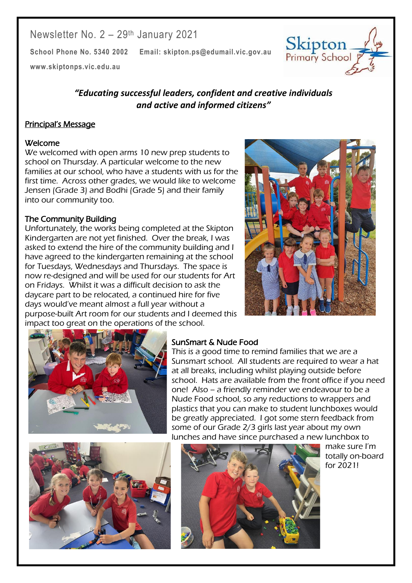# Newsletter No. 2 – 29th January 2021

**School Phone No. 5340 2002 Email: skipton.ps@edumail.vic.gov.au**

**[www.skiptonps.vic.edu.au](http://www.skiptonps.vic.edu.au/)**

## *"Educating successful leaders, confident and creative individuals and active and informed citizens"*

## Principal's Message

#### Welcome

We welcomed with open arms 10 new prep students to school on Thursday. A particular welcome to the new families at our school, who have a students with us for the first time. Across other grades, we would like to welcome Jensen (Grade 3) and Bodhi (Grade 5) and their family into our community too.

### The Community Building

Unfortunately, the works being completed at the Skipton Kindergarten are not yet finished. Over the break, I was asked to extend the hire of the community building and I have agreed to the kindergarten remaining at the school for Tuesdays, Wednesdays and Thursdays. The space is now re-designed and will be used for our students for Art on Fridays. Whilst it was a difficult decision to ask the daycare part to be relocated, a continued hire for five days would've meant almost a full year without a purpose-built Art room for our students and I deemed this impact too great on the operations of the school.



Skipton



## SunSmart & Nude Food

This is a good time to remind families that we are a Sunsmart school. All students are required to wear a hat at all breaks, including whilst playing outside before school. Hats are available from the front office if you need one! Also – a friendly reminder we endeavour to be a Nude Food school, so any reductions to wrappers and plastics that you can make to student lunchboxes would be greatly appreciated. I got some stern feedback from some of our Grade 2/3 girls last year about my own lunches and have since purchased a new lunchbox to





make sure I'm totally on-board for 2021!

Centacare South West